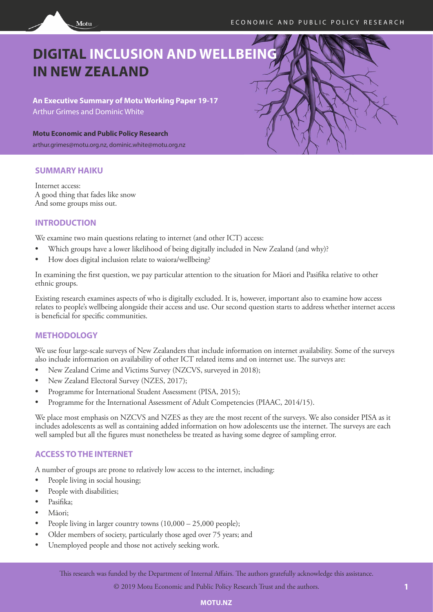

**An Executive Summary of Motu Working Paper 19-17** Arthur Grimes and Dominic White

**Motu Economic and Public Policy Research**

arthur.grimes@motu.org.nz, dominic.white@motu.org.nz

## **SUMMARY HAIKU**

Internet access: A good thing that fades like snow And some groups miss out.

Motu

# **INTRODUCTION**

We examine two main questions relating to internet (and other ICT) access:

- Which groups have a lower likelihood of being digitally included in New Zealand (and why)?
- How does digital inclusion relate to waiora/wellbeing?

In examining the first question, we pay particular attention to the situation for Māori and Pasifika relative to other ethnic groups.

Existing research examines aspects of who is digitally excluded. It is, however, important also to examine how access relates to people's wellbeing alongside their access and use. Our second question starts to address whether internet access is beneficial for specific communities.

# **METHODOLOGY**

We use four large-scale surveys of New Zealanders that include information on internet availability. Some of the surveys also include information on availability of other ICT related items and on internet use. The surveys are:

- New Zealand Crime and Victims Survey (NZCVS, surveyed in 2018);
- New Zealand Electoral Survey (NZES, 2017);
- Programme for International Student Assessment (PISA, 2015);
- Programme for the International Assessment of Adult Competencies (PIAAC, 2014/15).

We place most emphasis on NZCVS and NZES as they are the most recent of the surveys. We also consider PISA as it includes adolescents as well as containing added information on how adolescents use the internet. The surveys are each well sampled but all the figures must nonetheless be treated as having some degree of sampling error.

# **ACCESS TO THE INTERNET**

A number of groups are prone to relatively low access to the internet, including:

- People living in social housing;
- People with disabilities;
- Pasifika;
- Māori;
- People living in larger country towns  $(10,000 25,000$  people);
- Older members of society, particularly those aged over 75 years; and
- Unemployed people and those not actively seeking work.

© 2019 Motu Economic and Public Policy Research Trust and the authors.

## **MOTU.NZ**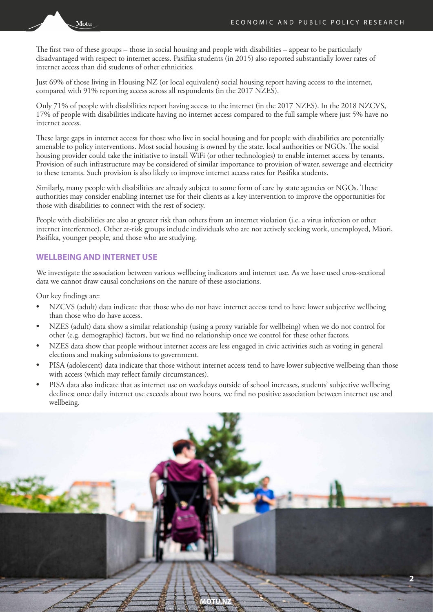Motu

The first two of these groups – those in social housing and people with disabilities – appear to be particularly disadvantaged with respect to internet access. Pasifika students (in 2015) also reported substantially lower rates of internet access than did students of other ethnicities.

Just 69% of those living in Housing NZ (or local equivalent) social housing report having access to the internet, compared with 91% reporting access across all respondents (in the 2017 NZES).

Only 71% of people with disabilities report having access to the internet (in the 2017 NZES). In the 2018 NZCVS, 17% of people with disabilities indicate having no internet access compared to the full sample where just 5% have no internet access.

These large gaps in internet access for those who live in social housing and for people with disabilities are potentially amenable to policy interventions. Most social housing is owned by the state. local authorities or NGOs. The social housing provider could take the initiative to install WiFi (or other technologies) to enable internet access by tenants. Provision of such infrastructure may be considered of similar importance to provision of water, sewerage and electricity to these tenants. Such provision is also likely to improve internet access rates for Pasifika students.

Similarly, many people with disabilities are already subject to some form of care by state agencies or NGOs. These authorities may consider enabling internet use for their clients as a key intervention to improve the opportunities for those with disabilities to connect with the rest of society.

People with disabilities are also at greater risk than others from an internet violation (i.e. a virus infection or other internet interference). Other at-risk groups include individuals who are not actively seeking work, unemployed, Māori, Pasifika, younger people, and those who are studying.

### **WELLBEING AND INTERNET USE**

We investigate the association between various wellbeing indicators and internet use. As we have used cross-sectional data we cannot draw causal conclusions on the nature of these associations.

Our key findings are:

- NZCVS (adult) data indicate that those who do not have internet access tend to have lower subjective wellbeing than those who do have access.
- NZES (adult) data show a similar relationship (using a proxy variable for wellbeing) when we do not control for other (e.g. demographic) factors, but we find no relationship once we control for these other factors.
- NZES data show that people without internet access are less engaged in civic activities such as voting in general elections and making submissions to government.
- PISA (adolescent) data indicate that those without internet access tend to have lower subjective wellbeing than those with access (which may reflect family circumstances).
- PISA data also indicate that as internet use on weekdays outside of school increases, students' subjective wellbeing declines; once daily internet use exceeds about two hours, we find no positive association between internet use and wellbeing.